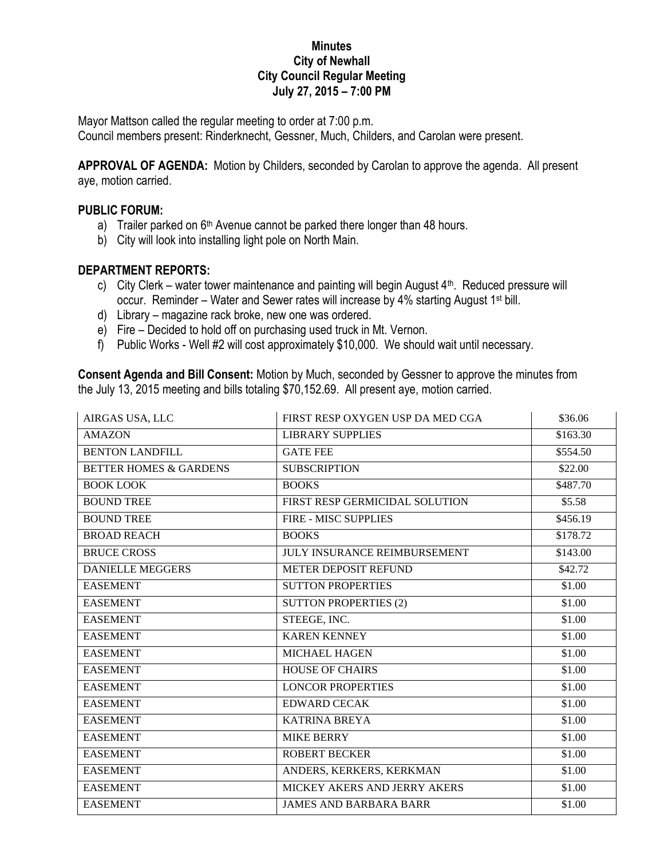## **Minutes City of Newhall City Council Regular Meeting July 27, 2015 – 7:00 PM**

Mayor Mattson called the regular meeting to order at 7:00 p.m. Council members present: Rinderknecht, Gessner, Much, Childers, and Carolan were present.

**APPROVAL OF AGENDA:** Motion by Childers, seconded by Carolan to approve the agenda. All present aye, motion carried.

## **PUBLIC FORUM:**

- a) Trailer parked on  $6<sup>th</sup>$  Avenue cannot be parked there longer than 48 hours.
- b) City will look into installing light pole on North Main.

## **DEPARTMENT REPORTS:**

- c) City Clerk water tower maintenance and painting will begin August  $4<sup>th</sup>$ . Reduced pressure will occur. Reminder – Water and Sewer rates will increase by 4% starting August 1st bill.
- d) Library magazine rack broke, new one was ordered.
- e) Fire Decided to hold off on purchasing used truck in Mt. Vernon.
- f) Public Works Well #2 will cost approximately \$10,000. We should wait until necessary.

**Consent Agenda and Bill Consent:** Motion by Much, seconded by Gessner to approve the minutes from the July 13, 2015 meeting and bills totaling \$70,152.69. All present aye, motion carried.

| AIRGAS USA, LLC                   | FIRST RESP OXYGEN USP DA MED CGA    | \$36.06  |
|-----------------------------------|-------------------------------------|----------|
| <b>AMAZON</b>                     | <b>LIBRARY SUPPLIES</b>             | \$163.30 |
| <b>BENTON LANDFILL</b>            | <b>GATE FEE</b>                     | \$554.50 |
| <b>BETTER HOMES &amp; GARDENS</b> | <b>SUBSCRIPTION</b>                 | \$22.00  |
| <b>BOOK LOOK</b>                  | <b>BOOKS</b>                        | \$487.70 |
| <b>BOUND TREE</b>                 | FIRST RESP GERMICIDAL SOLUTION      | \$5.58   |
| <b>BOUND TREE</b>                 | <b>FIRE - MISC SUPPLIES</b>         | \$456.19 |
| <b>BROAD REACH</b>                | <b>BOOKS</b>                        | \$178.72 |
| <b>BRUCE CROSS</b>                | <b>JULY INSURANCE REIMBURSEMENT</b> | \$143.00 |
| <b>DANIELLE MEGGERS</b>           | <b>METER DEPOSIT REFUND</b>         | \$42.72  |
| <b>EASEMENT</b>                   | <b>SUTTON PROPERTIES</b>            | \$1.00   |
| <b>EASEMENT</b>                   | <b>SUTTON PROPERTIES (2)</b>        | \$1.00   |
| <b>EASEMENT</b>                   | STEEGE, INC.                        | \$1.00   |
| <b>EASEMENT</b>                   | <b>KAREN KENNEY</b>                 | \$1.00   |
| <b>EASEMENT</b>                   | <b>MICHAEL HAGEN</b>                | \$1.00   |
| <b>EASEMENT</b>                   | <b>HOUSE OF CHAIRS</b>              | \$1.00   |
| <b>EASEMENT</b>                   | <b>LONCOR PROPERTIES</b>            | \$1.00   |
| <b>EASEMENT</b>                   | <b>EDWARD CECAK</b>                 | \$1.00   |
| <b>EASEMENT</b>                   | <b>KATRINA BREYA</b>                | \$1.00   |
| <b>EASEMENT</b>                   | <b>MIKE BERRY</b>                   | \$1.00   |
| <b>EASEMENT</b>                   | <b>ROBERT BECKER</b>                | \$1.00   |
| <b>EASEMENT</b>                   | ANDERS, KERKERS, KERKMAN            | \$1.00   |
| <b>EASEMENT</b>                   | MICKEY AKERS AND JERRY AKERS        | \$1.00   |
| <b>EASEMENT</b>                   | <b>JAMES AND BARBARA BARR</b>       | \$1.00   |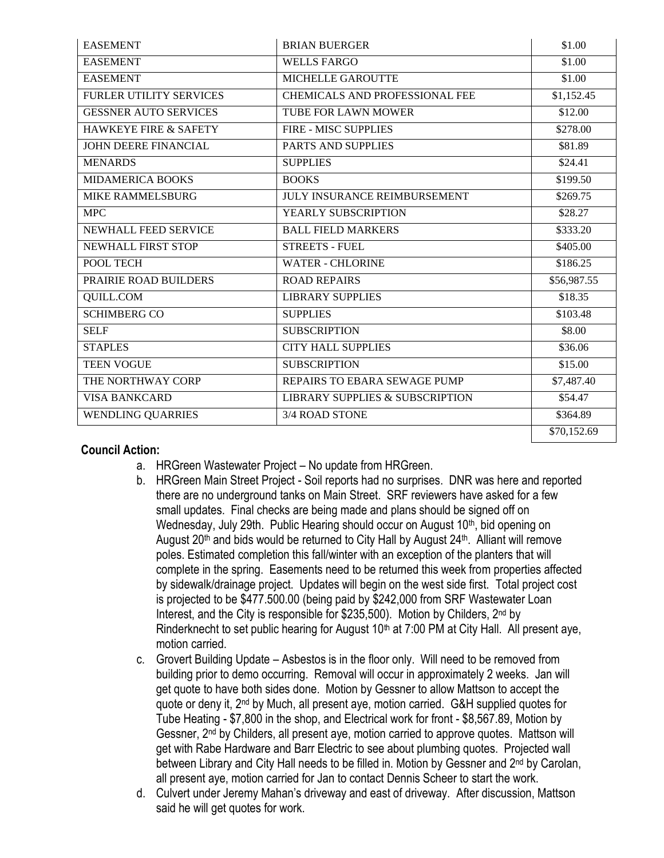| <b>EASEMENT</b>                  | <b>BRIAN BUERGER</b>                  | \$1.00      |
|----------------------------------|---------------------------------------|-------------|
| <b>EASEMENT</b>                  | <b>WELLS FARGO</b>                    | \$1.00      |
| <b>EASEMENT</b>                  | MICHELLE GAROUTTE                     | \$1.00      |
| <b>FURLER UTILITY SERVICES</b>   | <b>CHEMICALS AND PROFESSIONAL FEE</b> | \$1,152.45  |
| <b>GESSNER AUTO SERVICES</b>     | <b>TUBE FOR LAWN MOWER</b>            | \$12.00     |
| <b>HAWKEYE FIRE &amp; SAFETY</b> | <b>FIRE - MISC SUPPLIES</b>           | \$278.00    |
| <b>JOHN DEERE FINANCIAL</b>      | <b>PARTS AND SUPPLIES</b>             | \$81.89     |
| <b>MENARDS</b>                   | <b>SUPPLIES</b>                       | \$24.41     |
| <b>MIDAMERICA BOOKS</b>          | <b>BOOKS</b>                          | \$199.50    |
| MIKE RAMMELSBURG                 | <b>JULY INSURANCE REIMBURSEMENT</b>   | \$269.75    |
| <b>MPC</b>                       | YEARLY SUBSCRIPTION                   | \$28.27     |
| NEWHALL FEED SERVICE             | <b>BALL FIELD MARKERS</b>             | \$333.20    |
| <b>NEWHALL FIRST STOP</b>        | <b>STREETS - FUEL</b>                 | \$405.00    |
| POOL TECH                        | <b>WATER - CHLORINE</b>               | \$186.25    |
| PRAIRIE ROAD BUILDERS            | <b>ROAD REPAIRS</b>                   | \$56,987.55 |
| QUILL.COM                        | <b>LIBRARY SUPPLIES</b>               | \$18.35     |
| <b>SCHIMBERG CO</b>              | <b>SUPPLIES</b>                       | \$103.48    |
| <b>SELF</b>                      | <b>SUBSCRIPTION</b>                   | \$8.00      |
| <b>STAPLES</b>                   | <b>CITY HALL SUPPLIES</b>             | \$36.06     |
| <b>TEEN VOGUE</b>                | <b>SUBSCRIPTION</b>                   | \$15.00     |
| THE NORTHWAY CORP                | REPAIRS TO EBARA SEWAGE PUMP          | \$7,487.40  |
| <b>VISA BANKCARD</b>             | LIBRARY SUPPLIES & SUBSCRIPTION       | \$54.47     |
| <b>WENDLING QUARRIES</b>         | 3/4 ROAD STONE                        | \$364.89    |
|                                  |                                       | \$70,152.69 |

## **Council Action:**

- a. HRGreen Wastewater Project No update from HRGreen.
- b. HRGreen Main Street Project Soil reports had no surprises. DNR was here and reported there are no underground tanks on Main Street. SRF reviewers have asked for a few small updates. Final checks are being made and plans should be signed off on Wednesday, July 29th. Public Hearing should occur on August 10<sup>th</sup>, bid opening on August  $20<sup>th</sup>$  and bids would be returned to City Hall by August  $24<sup>th</sup>$ . Alliant will remove poles. Estimated completion this fall/winter with an exception of the planters that will complete in the spring. Easements need to be returned this week from properties affected by sidewalk/drainage project. Updates will begin on the west side first. Total project cost is projected to be \$477.500.00 (being paid by \$242,000 from SRF Wastewater Loan Interest, and the City is responsible for \$235,500). Motion by Childers, 2<sup>nd</sup> by Rinderknecht to set public hearing for August 10<sup>th</sup> at 7:00 PM at City Hall. All present aye, motion carried.
- c. Grovert Building Update Asbestos is in the floor only. Will need to be removed from building prior to demo occurring. Removal will occur in approximately 2 weeks. Jan will get quote to have both sides done. Motion by Gessner to allow Mattson to accept the quote or deny it, 2nd by Much, all present aye, motion carried. G&H supplied quotes for Tube Heating - \$7,800 in the shop, and Electrical work for front - \$8,567.89, Motion by Gessner, 2nd by Childers, all present aye, motion carried to approve quotes. Mattson will get with Rabe Hardware and Barr Electric to see about plumbing quotes. Projected wall between Library and City Hall needs to be filled in. Motion by Gessner and 2nd by Carolan, all present aye, motion carried for Jan to contact Dennis Scheer to start the work.
- d. Culvert under Jeremy Mahan's driveway and east of driveway. After discussion, Mattson said he will get quotes for work.